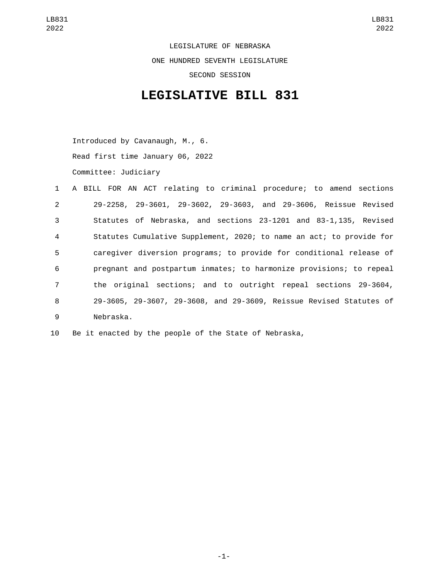LEGISLATURE OF NEBRASKA ONE HUNDRED SEVENTH LEGISLATURE SECOND SESSION

## **LEGISLATIVE BILL 831**

Introduced by Cavanaugh, M., 6. Read first time January 06, 2022 Committee: Judiciary

|                | 1 A BILL FOR AN ACT relating to criminal procedure; to amend sections |
|----------------|-----------------------------------------------------------------------|
| 2              | 29-2258, 29-3601, 29-3602, 29-3603, and 29-3606, Reissue Revised      |
| 3              | Statutes of Nebraska, and sections 23-1201 and 83-1,135, Revised      |
| $\overline{4}$ | Statutes Cumulative Supplement, 2020; to name an act; to provide for  |
| $5^{\circ}$    | caregiver diversion programs; to provide for conditional release of   |
| 6              | pregnant and postpartum inmates; to harmonize provisions; to repeal   |
| $\overline{7}$ | the original sections; and to outright repeal sections 29-3604,       |
| 8              | 29-3605, 29-3607, 29-3608, and 29-3609, Reissue Revised Statutes of   |
| 9              | Nebraska.                                                             |

10 Be it enacted by the people of the State of Nebraska,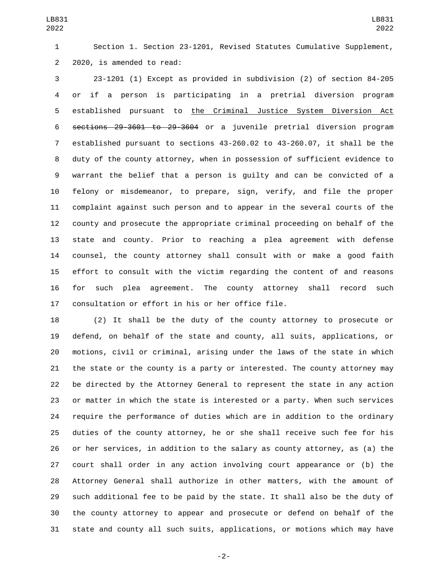Section 1. Section 23-1201, Revised Statutes Cumulative Supplement, 2 2020, is amended to read:

 23-1201 (1) Except as provided in subdivision (2) of section 84-205 or if a person is participating in a pretrial diversion program established pursuant to the Criminal Justice System Diversion Act sections 29-3601 to 29-3604 or a juvenile pretrial diversion program established pursuant to sections 43-260.02 to 43-260.07, it shall be the duty of the county attorney, when in possession of sufficient evidence to warrant the belief that a person is guilty and can be convicted of a felony or misdemeanor, to prepare, sign, verify, and file the proper complaint against such person and to appear in the several courts of the county and prosecute the appropriate criminal proceeding on behalf of the state and county. Prior to reaching a plea agreement with defense counsel, the county attorney shall consult with or make a good faith effort to consult with the victim regarding the content of and reasons for such plea agreement. The county attorney shall record such 17 consultation or effort in his or her office file.

 (2) It shall be the duty of the county attorney to prosecute or defend, on behalf of the state and county, all suits, applications, or motions, civil or criminal, arising under the laws of the state in which the state or the county is a party or interested. The county attorney may be directed by the Attorney General to represent the state in any action or matter in which the state is interested or a party. When such services require the performance of duties which are in addition to the ordinary duties of the county attorney, he or she shall receive such fee for his or her services, in addition to the salary as county attorney, as (a) the court shall order in any action involving court appearance or (b) the Attorney General shall authorize in other matters, with the amount of such additional fee to be paid by the state. It shall also be the duty of the county attorney to appear and prosecute or defend on behalf of the state and county all such suits, applications, or motions which may have

-2-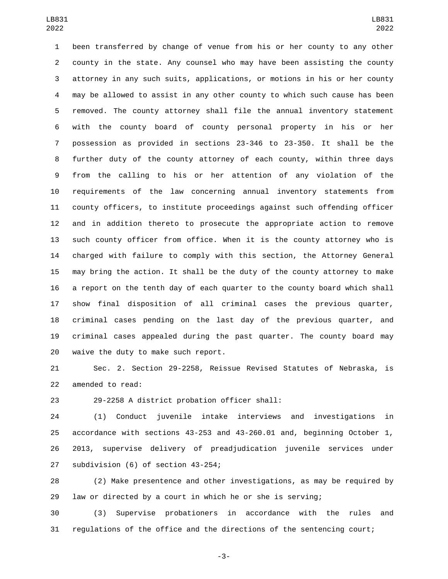been transferred by change of venue from his or her county to any other county in the state. Any counsel who may have been assisting the county attorney in any such suits, applications, or motions in his or her county may be allowed to assist in any other county to which such cause has been removed. The county attorney shall file the annual inventory statement with the county board of county personal property in his or her possession as provided in sections 23-346 to 23-350. It shall be the further duty of the county attorney of each county, within three days from the calling to his or her attention of any violation of the requirements of the law concerning annual inventory statements from county officers, to institute proceedings against such offending officer and in addition thereto to prosecute the appropriate action to remove such county officer from office. When it is the county attorney who is charged with failure to comply with this section, the Attorney General may bring the action. It shall be the duty of the county attorney to make a report on the tenth day of each quarter to the county board which shall show final disposition of all criminal cases the previous quarter, criminal cases pending on the last day of the previous quarter, and criminal cases appealed during the past quarter. The county board may waive the duty to make such report.

 Sec. 2. Section 29-2258, Reissue Revised Statutes of Nebraska, is 22 amended to read:

23 29-2258 A district probation officer shall:

 (1) Conduct juvenile intake interviews and investigations in accordance with sections 43-253 and 43-260.01 and, beginning October 1, 2013, supervise delivery of preadjudication juvenile services under 27 subdivision (6) of section 43-254;

 (2) Make presentence and other investigations, as may be required by law or directed by a court in which he or she is serving;

 (3) Supervise probationers in accordance with the rules and regulations of the office and the directions of the sentencing court;

-3-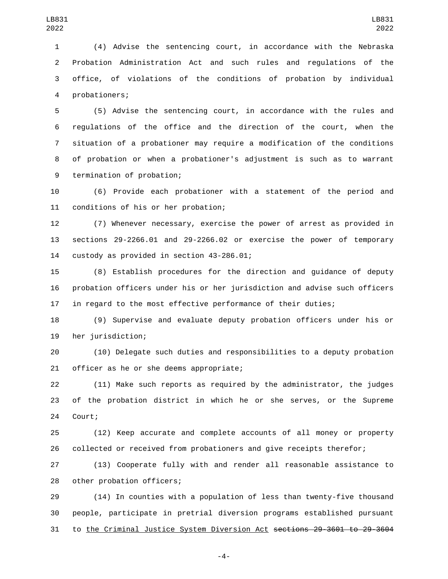(4) Advise the sentencing court, in accordance with the Nebraska Probation Administration Act and such rules and regulations of the office, of violations of the conditions of probation by individual probationers;4

 (5) Advise the sentencing court, in accordance with the rules and regulations of the office and the direction of the court, when the situation of a probationer may require a modification of the conditions of probation or when a probationer's adjustment is such as to warrant 9 termination of probation;

 (6) Provide each probationer with a statement of the period and 11 conditions of his or her probation;

 (7) Whenever necessary, exercise the power of arrest as provided in sections 29-2266.01 and 29-2266.02 or exercise the power of temporary 14 custody as provided in section 43-286.01;

 (8) Establish procedures for the direction and guidance of deputy probation officers under his or her jurisdiction and advise such officers in regard to the most effective performance of their duties;

 (9) Supervise and evaluate deputy probation officers under his or 19 her jurisdiction;

 (10) Delegate such duties and responsibilities to a deputy probation 21 officer as he or she deems appropriate;

 (11) Make such reports as required by the administrator, the judges of the probation district in which he or she serves, or the Supreme 24 Court;

 (12) Keep accurate and complete accounts of all money or property collected or received from probationers and give receipts therefor;

 (13) Cooperate fully with and render all reasonable assistance to 28 other probation officers;

 (14) In counties with a population of less than twenty-five thousand people, participate in pretrial diversion programs established pursuant to the Criminal Justice System Diversion Act sections 29-3601 to 29-3604

-4-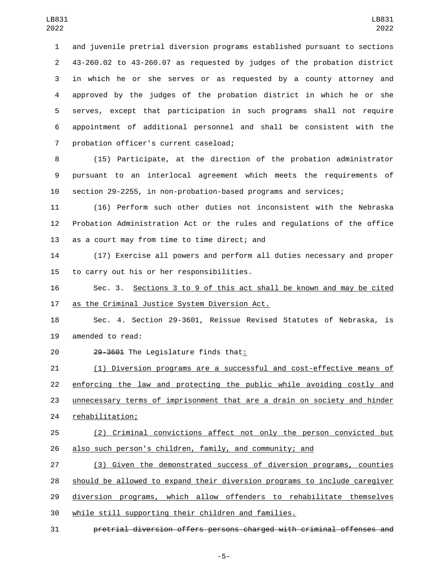and juvenile pretrial diversion programs established pursuant to sections 43-260.02 to 43-260.07 as requested by judges of the probation district in which he or she serves or as requested by a county attorney and approved by the judges of the probation district in which he or she serves, except that participation in such programs shall not require appointment of additional personnel and shall be consistent with the 7 probation officer's current caseload;

 (15) Participate, at the direction of the probation administrator pursuant to an interlocal agreement which meets the requirements of section 29-2255, in non-probation-based programs and services;

 (16) Perform such other duties not inconsistent with the Nebraska Probation Administration Act or the rules and regulations of the office 13 as a court may from time to time direct; and

 (17) Exercise all powers and perform all duties necessary and proper 15 to carry out his or her responsibilities.

 Sec. 3. Sections 3 to 9 of this act shall be known and may be cited 17 as the Criminal Justice System Diversion Act.

 Sec. 4. Section 29-3601, Reissue Revised Statutes of Nebraska, is 19 amended to read:

20 29-3601 The Legislature finds that:

 (1) Diversion programs are a successful and cost-effective means of enforcing the law and protecting the public while avoiding costly and 23 unnecessary terms of imprisonment that are a drain on society and hinder 24 rehabilitation;

 (2) Criminal convictions affect not only the person convicted but also such person's children, family, and community; and

 (3) Given the demonstrated success of diversion programs, counties should be allowed to expand their diversion programs to include caregiver diversion programs, which allow offenders to rehabilitate themselves while still supporting their children and families.

pretrial diversion offers persons charged with criminal offenses and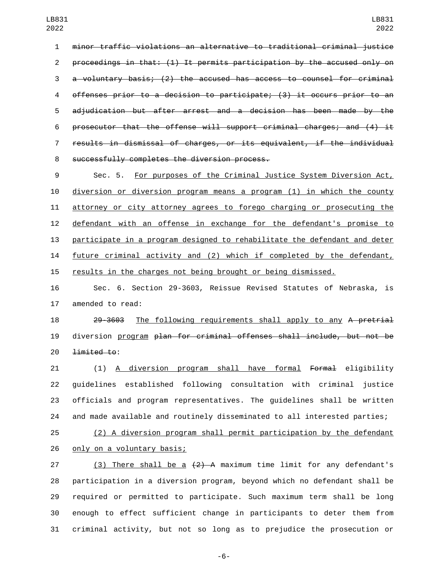minor traffic violations an alternative to traditional criminal justice proceedings in that: (1) It permits participation by the accused only on a voluntary basis; (2) the accused has access to counsel for criminal offenses prior to a decision to participate; (3) it occurs prior to an adjudication but after arrest and a decision has been made by the 6 prosecutor that the offense will support criminal charges; and  $(4)$  it results in dismissal of charges, or its equivalent, if the individual 8 successfully completes the diversion process.

 Sec. 5. For purposes of the Criminal Justice System Diversion Act, diversion or diversion program means a program (1) in which the county attorney or city attorney agrees to forego charging or prosecuting the defendant with an offense in exchange for the defendant's promise to participate in a program designed to rehabilitate the defendant and deter future criminal activity and (2) which if completed by the defendant, results in the charges not being brought or being dismissed.

 Sec. 6. Section 29-3603, Reissue Revised Statutes of Nebraska, is 17 amended to read:

18 29-3603 The following requirements shall apply to any A pretrial diversion program plan for criminal offenses shall include, but not be  $\frac{1 \text{imited to:}}{20}$ 

 (1) A diversion program shall have formal Formal eligibility guidelines established following consultation with criminal justice officials and program representatives. The guidelines shall be written and made available and routinely disseminated to all interested parties;

 (2) A diversion program shall permit participation by the defendant 26 only on a voluntary basis;

27 (3) There shall be a  $\{2\}$  A maximum time limit for any defendant's participation in a diversion program, beyond which no defendant shall be required or permitted to participate. Such maximum term shall be long enough to effect sufficient change in participants to deter them from criminal activity, but not so long as to prejudice the prosecution or

-6-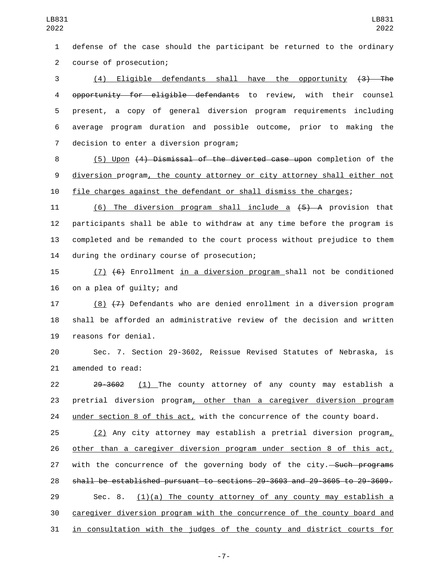defense of the case should the participant be returned to the ordinary course of prosecution;2

 (4) Eligible defendants shall have the opportunity (3) The opportunity for eligible defendants to review, with their counsel present, a copy of general diversion program requirements including average program duration and possible outcome, prior to making the 7 decision to enter a diversion program;

 (5) Upon (4) Dismissal of the diverted case upon completion of the diversion program, the county attorney or city attorney shall either not file charges against the defendant or shall dismiss the charges;

 (6) The diversion program shall include a (5) A provision that participants shall be able to withdraw at any time before the program is completed and be remanded to the court process without prejudice to them 14 during the ordinary course of prosecution;

 (7) (6) Enrollment in a diversion program shall not be conditioned on a plea of quilty; and

 (8) (7) Defendants who are denied enrollment in a diversion program shall be afforded an administrative review of the decision and written 19 reasons for denial.

 Sec. 7. Section 29-3602, Reissue Revised Statutes of Nebraska, is 21 amended to read:

 29-3602 (1) The county attorney of any county may establish a pretrial diversion program, other than a caregiver diversion program under section 8 of this act, with the concurrence of the county board.

 (2) Any city attorney may establish a pretrial diversion program, other than a caregiver diversion program under section 8 of this act, 27 with the concurrence of the governing body of the city.—Such programs shall be established pursuant to sections 29-3603 and 29-3605 to 29-3609. 29 Sec. 8.  $(1)(a)$  The county attorney of any county may establish a caregiver diversion program with the concurrence of the county board and in consultation with the judges of the county and district courts for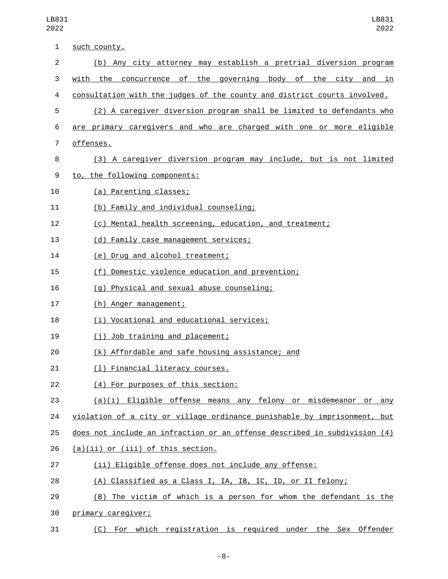| 1              | such county.                                                              |
|----------------|---------------------------------------------------------------------------|
| $\overline{2}$ | (b) Any city attorney may establish a pretrial diversion program          |
| 3              | the concurrence of the governing body of the city and in<br>with          |
| 4              | consultation with the judges of the county and district courts involved.  |
| 5              | (2) A caregiver diversion program shall be limited to defendants who      |
| 6              | are primary caregivers and who are charged with one or more eligible      |
| 7              | offenses.                                                                 |
| 8              | (3) A caregiver diversion program may include, but is not limited         |
| 9              | to, the following components:                                             |
| 10             | (a) Parenting classes;                                                    |
| 11             | (b) Family and individual counseling;                                     |
| 12             | (c) Mental health screening, education, and treatment;                    |
| 13             | (d) Family case management services;                                      |
| 14             | (e) Drug and alcohol treatment;                                           |
| 15             | (f) Domestic violence education and prevention;                           |
| 16             | (g) Physical and sexual abuse counseling;                                 |
| 17             | (h) Anger management;                                                     |
| 18             | (i) Vocational and educational services;                                  |
| 19             | (j) Job training and placement;                                           |
| 20             | (k) Affordable and safe housing assistance; and                           |
| 21             | (1) Financial literacy courses.                                           |
| 22             | (4) For purposes of this section:                                         |
| 23             | $(a)(i)$ Eligible offense means any felony or misdemeanor or any          |
| 24             | violation of a city or village ordinance punishable by imprisonment, but  |
| 25             | does not include an infraction or an offense described in subdivision (4) |
| 26             | (a)(ii) or (iii) of this section.                                         |
| 27             | (ii) Eligible offense does not include any offense:                       |
| 28             | (A) Classified as a Class I, IA, IB, IC, ID, or II felony;                |
| 29             | (B) The victim of which is a person for whom the defendant is the         |
| 30             | primary caregiver;                                                        |
| 31             | (C) For which registration is required under the Sex Offender             |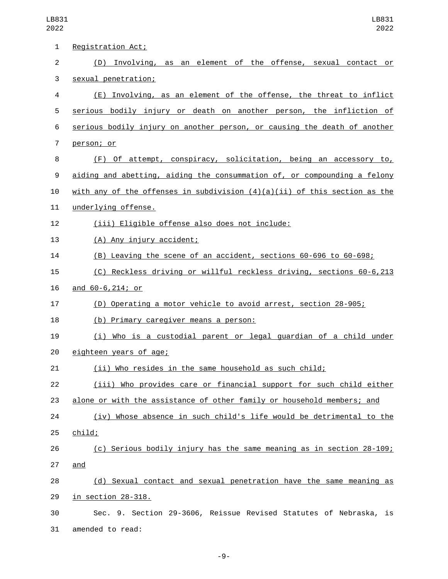LB831 2022

| $\mathbf{1}$   | Registration Act;                                                           |
|----------------|-----------------------------------------------------------------------------|
| $\overline{2}$ | (D) Involving, as an element of the offense, sexual contact or              |
| 3              | sexual penetration;                                                         |
| 4              | (E) Involving, as an element of the offense, the threat to inflict          |
| 5              | serious bodily injury or death on another person, the infliction of         |
| 6              | serious bodily injury on another person, or causing the death of another    |
| $\overline{7}$ | person; or                                                                  |
| 8              | (F) Of attempt, conspiracy, solicitation, being an accessory to,            |
| 9              | aiding and abetting, aiding the consummation of, or compounding a felony    |
| 10             | with any of the offenses in subdivision $(4)(a)(ii)$ of this section as the |
| 11             | underlying offense.                                                         |
| 12             | (iii) Eligible offense also does not include:                               |
| 13             | (A) Any injury accident;                                                    |
| 14             | (B) Leaving the scene of an accident, sections 60-696 to 60-698;            |
| 15             | (C) Reckless driving or willful reckless driving, sections 60-6,213         |
| 16             | and 60-6, 214; or                                                           |
| 17             | (D) Operating a motor vehicle to avoid arrest, section 28-905;              |
| 18             | (b) Primary caregiver means a person:                                       |
| 19             | (i) Who is a custodial parent or legal guardian of a child under            |
| 20             | eighteen years of age;                                                      |
| 21             | <u>(ii) Who resides in the same household as such child;</u>                |
| 22             | (iii) Who provides care or financial support for such child either          |
| 23             | alone or with the assistance of other family or household members; and      |
| 24             | (iv) Whose absence in such child's life would be detrimental to the         |
| 25             | child;                                                                      |
| 26             | (c) Serious bodily injury has the same meaning as in section 28-109;        |
| 27             | and                                                                         |
| 28             | (d) Sexual contact and sexual penetration have the same meaning as          |
| 29             | <u>in section 28-318.</u>                                                   |
| 30             | Sec. 9. Section 29-3606, Reissue Revised Statutes of Nebraska, is           |
| 31             | amended to read:                                                            |

-9-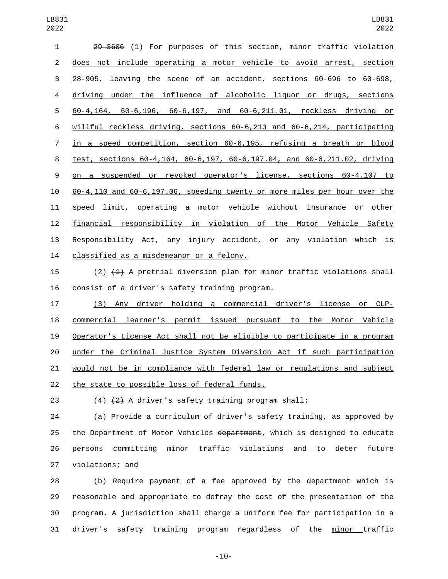| 1              | 29-3606 (1) For purposes of this section, minor traffic violation         |
|----------------|---------------------------------------------------------------------------|
| 2              | does not include operating a motor vehicle to avoid arrest, section       |
| 3              | 28-905, leaving the scene of an accident, sections 60-696 to 60-698,      |
| 4              | driving under the influence of alcoholic liquor or drugs, sections        |
| 5              | 60-4,164, 60-6,196, 60-6,197, and 60-6,211.01, reckless driving or        |
| 6              | willful reckless driving, sections 60-6,213 and 60-6,214, participating   |
| $\overline{7}$ | in a speed competition, section 60-6,195, refusing a breath or blood      |
| 8              | test, sections 60-4,164, 60-6,197, 60-6,197.04, and 60-6,211.02, driving  |
| 9              | on a suspended or revoked operator's license, sections 60-4,107 to        |
| 10             | 60-4,110 and 60-6,197.06, speeding twenty or more miles per hour over the |
| 11             | speed limit, operating a motor vehicle without insurance or other         |
| 12             | financial responsibility in violation of the Motor Vehicle Safety         |
| 13             | Responsibility Act, any injury accident, or any violation which is        |
| 14             | classified as a misdemeanor or a felony.                                  |

 (2) (1) A pretrial diversion plan for minor traffic violations shall 16 consist of a driver's safety training program.

 (3) Any driver holding a commercial driver's license or CLP- commercial learner's permit issued pursuant to the Motor Vehicle Operator's License Act shall not be eligible to participate in a program under the Criminal Justice System Diversion Act if such participation 21 would not be in compliance with federal law or regulations and subject 22 the state to possible loss of federal funds.

(4) (2) A driver's safety training program shall:

 (a) Provide a curriculum of driver's safety training, as approved by 25 the Department of Motor Vehicles department, which is designed to educate persons committing minor traffic violations and to deter future 27 violations; and

 (b) Require payment of a fee approved by the department which is reasonable and appropriate to defray the cost of the presentation of the program. A jurisdiction shall charge a uniform fee for participation in a driver's safety training program regardless of the minor traffic

-10-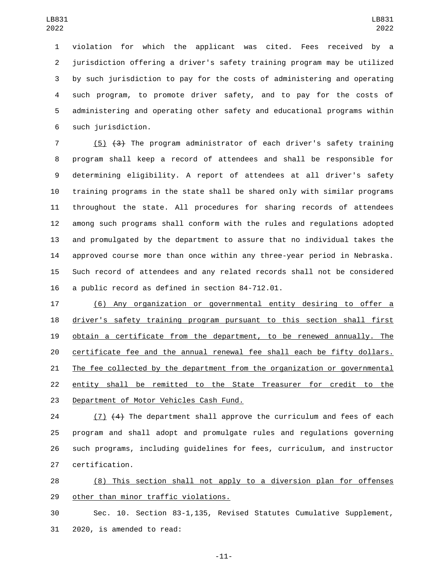violation for which the applicant was cited. Fees received by a jurisdiction offering a driver's safety training program may be utilized by such jurisdiction to pay for the costs of administering and operating such program, to promote driver safety, and to pay for the costs of administering and operating other safety and educational programs within 6 such jurisdiction.

 (5) (3) The program administrator of each driver's safety training program shall keep a record of attendees and shall be responsible for determining eligibility. A report of attendees at all driver's safety training programs in the state shall be shared only with similar programs throughout the state. All procedures for sharing records of attendees among such programs shall conform with the rules and regulations adopted and promulgated by the department to assure that no individual takes the approved course more than once within any three-year period in Nebraska. Such record of attendees and any related records shall not be considered 16 a public record as defined in section  $84 - 712.01$ .

 (6) Any organization or governmental entity desiring to offer a driver's safety training program pursuant to this section shall first obtain a certificate from the department, to be renewed annually. The certificate fee and the annual renewal fee shall each be fifty dollars. The fee collected by the department from the organization or governmental entity shall be remitted to the State Treasurer for credit to the 23 Department of Motor Vehicles Cash Fund.

 (7) (4) The department shall approve the curriculum and fees of each program and shall adopt and promulgate rules and regulations governing such programs, including guidelines for fees, curriculum, and instructor 27 certification.

 (8) This section shall not apply to a diversion plan for offenses 29 other than minor traffic violations.

 Sec. 10. Section 83-1,135, Revised Statutes Cumulative Supplement, 31 2020, is amended to read:

-11-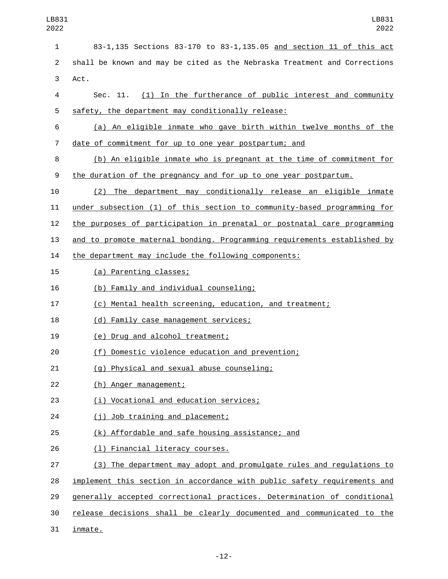| 1              | 83-1,135 Sections 83-170 to 83-1,135.05 and section 11 of this act        |
|----------------|---------------------------------------------------------------------------|
| $\overline{c}$ | shall be known and may be cited as the Nebraska Treatment and Corrections |
| 3              | Act.                                                                      |
| 4              | Sec. 11. (1) In the furtherance of public interest and community          |
| 5              | safety, the department may conditionally release:                         |
| 6              | (a) An eligible inmate who gave birth within twelve months of the         |
| 7              | <u>date of commitment for up to one year postpartum; and</u>              |
| 8              | (b) An eligible inmate who is pregnant at the time of commitment for      |
| 9              | the duration of the pregnancy and for up to one year postpartum.          |
| 10             | (2) The department may conditionally release an eligible inmate           |
| 11             | under subsection (1) of this section to community-based programming for   |
| 12             | the purposes of participation in prenatal or postnatal care programming   |
| 13             | and to promote maternal bonding. Programming requirements established by  |
| 14             | the department may include the following components:                      |
| 15             | (a) Parenting classes;                                                    |
| 16             | (b) Family and individual counseling;                                     |
| 17             | (c) Mental health screening, education, and treatment;                    |
| 18             | (d) Family case management services;                                      |
| 19             | (e) Drug and alcohol treatment;                                           |
| 20             | Domestic violence education and prevention;<br>(f)                        |
| 21             | (g) Physical and sexual abuse counseling;                                 |
| 22             | (h) Anger management;                                                     |
| 23             | (i) Vocational and education services;                                    |
| 24             | (j) Job training and placement;                                           |
| 25             | (k) Affordable and safe housing assistance; and                           |
| 26             | (1) Financial literacy courses.                                           |
| 27             | (3) The department may adopt and promulgate rules and regulations to      |
| 28             | implement this section in accordance with public safety requirements and  |
| 29             | generally accepted correctional practices. Determination of conditional   |
| 30             | release decisions shall be clearly documented and communicated to the     |
| 31             | inmate.                                                                   |